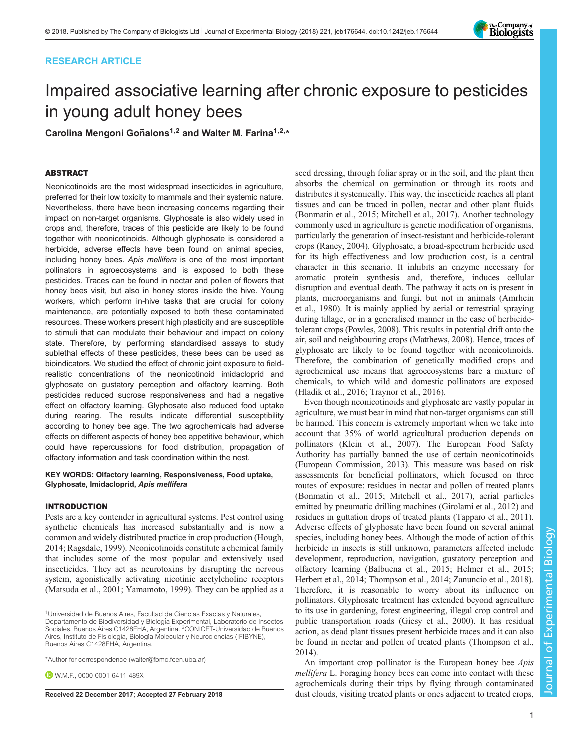# RESEARCH ARTICLE



# Impaired associative learning after chronic exposure to pesticides in young adult honey bees

Carolina Mengoni Goñalons<sup>1,2</sup> and Walter M. Farina<sup>1,2,</sup>\*

## ABSTRACT

Neonicotinoids are the most widespread insecticides in agriculture, preferred for their low toxicity to mammals and their systemic nature. Nevertheless, there have been increasing concerns regarding their impact on non-target organisms. Glyphosate is also widely used in crops and, therefore, traces of this pesticide are likely to be found together with neonicotinoids. Although glyphosate is considered a herbicide, adverse effects have been found on animal species, including honey bees. Apis mellifera is one of the most important pollinators in agroecosystems and is exposed to both these pesticides. Traces can be found in nectar and pollen of flowers that honey bees visit, but also in honey stores inside the hive. Young workers, which perform in-hive tasks that are crucial for colony maintenance, are potentially exposed to both these contaminated resources. These workers present high plasticity and are susceptible to stimuli that can modulate their behaviour and impact on colony state. Therefore, by performing standardised assays to study sublethal effects of these pesticides, these bees can be used as bioindicators. We studied the effect of chronic joint exposure to fieldrealistic concentrations of the neonicotinoid imidacloprid and glyphosate on gustatory perception and olfactory learning. Both pesticides reduced sucrose responsiveness and had a negative effect on olfactory learning. Glyphosate also reduced food uptake during rearing. The results indicate differential susceptibility according to honey bee age. The two agrochemicals had adverse effects on different aspects of honey bee appetitive behaviour, which could have repercussions for food distribution, propagation of olfactory information and task coordination within the nest.

#### KEY WORDS: Olfactory learning, Responsiveness, Food uptake, Glyphosate, Imidacloprid, Apis mellifera

#### INTRODUCTION

Pests are a key contender in agricultural systems. Pest control using synthetic chemicals has increased substantially and is now a common and widely distributed practice in crop production ([Hough,](#page-6-0) [2014](#page-6-0); [Ragsdale, 1999](#page-6-0)). Neonicotinoids constitute a chemical family that includes some of the most popular and extensively used insecticides. They act as neurotoxins by disrupting the nervous system, agonistically activating nicotinic acetylcholine receptors [\(Matsuda et al., 2001](#page-6-0); [Yamamoto, 1999\)](#page-7-0). They can be applied as a

**D** W.M.F., [0000-0001-6411-489X](http://orcid.org/0000-0001-6411-489X)

seed dressing, through foliar spray or in the soil, and the plant then absorbs the chemical on germination or through its roots and distributes it systemically. This way, the insecticide reaches all plant tissues and can be traced in pollen, nectar and other plant fluids [\(Bonmatin et al., 2015; Mitchell et al., 2017](#page-6-0)). Another technology commonly used in agriculture is genetic modification of organisms, particularly the generation of insect-resistant and herbicide-tolerant crops ([Raney, 2004\)](#page-6-0). Glyphosate, a broad-spectrum herbicide used for its high effectiveness and low production cost, is a central character in this scenario. It inhibits an enzyme necessary for aromatic protein synthesis and, therefore, induces cellular disruption and eventual death. The pathway it acts on is present in plants, microorganisms and fungi, but not in animals [\(Amrhein](#page-6-0) [et al., 1980](#page-6-0)). It is mainly applied by aerial or terrestrial spraying during tillage, or in a generalised manner in the case of herbicidetolerant crops ([Powles, 2008](#page-6-0)). This results in potential drift onto the air, soil and neighbouring crops [\(Matthews, 2008](#page-6-0)). Hence, traces of glyphosate are likely to be found together with neonicotinoids. Therefore, the combination of genetically modified crops and agrochemical use means that agroecosystems bare a mixture of chemicals, to which wild and domestic pollinators are exposed [\(Hladik et al., 2016;](#page-6-0) [Traynor et al., 2016\)](#page-7-0).

Even though neonicotinoids and glyphosate are vastly popular in agriculture, we must bear in mind that non-target organisms can still be harmed. This concern is extremely important when we take into account that 35% of world agricultural production depends on pollinators ([Klein et al., 2007\)](#page-6-0). The European Food Safety Authority has partially banned the use of certain neonicotinoids [\(European Commission, 2013\)](#page-6-0). This measure was based on risk assessments for beneficial pollinators, which focused on three routes of exposure: residues in nectar and pollen of treated plants [\(Bonmatin et al., 2015](#page-6-0); [Mitchell et al., 2017](#page-6-0)), aerial particles emitted by pneumatic drilling machines ([Girolami et al., 2012\)](#page-6-0) and residues in guttation drops of treated plants ([Tapparo et al., 2011\)](#page-6-0). Adverse effects of glyphosate have been found on several animal species, including honey bees. Although the mode of action of this herbicide in insects is still unknown, parameters affected include development, reproduction, navigation, gustatory perception and olfactory learning ([Balbuena et al., 2015](#page-6-0); [Helmer et al., 2015](#page-6-0); [Herbert et al., 2014; Thompson et al., 2014](#page-6-0); [Zanuncio et al., 2018\)](#page-7-0). Therefore, it is reasonable to worry about its influence on pollinators. Glyphosate treatment has extended beyond agriculture to its use in gardening, forest engineering, illegal crop control and public transportation roads [\(Giesy et al., 2000](#page-6-0)). It has residual action, as dead plant tissues present herbicide traces and it can also be found in nectar and pollen of treated plants ([Thompson et al.,](#page-6-0) [2014\)](#page-6-0).

An important crop pollinator is the European honey bee *Apis* mellifera L. Foraging honey bees can come into contact with these agrochemicals during their trips by flying through contaminated Received 22 December 2017; Accepted 27 February 2018 dust clouds, visiting treated plants or ones adjacent to treated crops,

<sup>&</sup>lt;sup>1</sup>Universidad de Buenos Aires, Facultad de Ciencias Exactas y Naturales, Departamento de Biodiversidad y Biología Experimental, Laboratorio de Insectos<br>Sociales, Buenos Aires C1428EHA, Argentina. <sup>2</sup>CONICET-Universidad de Buenos Aires, Instituto de Fisiología, Biología Molecular y Neurociencias (IFIBYNE), Buenos Aires C1428EHA, Argentina.

<sup>\*</sup>Author for correspondence [\(walter@fbmc.fcen.uba.ar](mailto:walter@fbmc.fcen.uba.ar))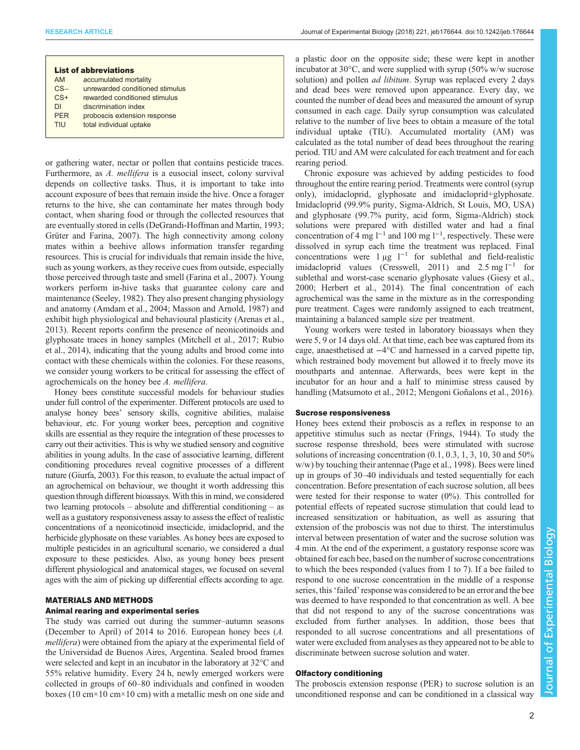| <b>List of abbreviations</b> |                                 |
|------------------------------|---------------------------------|
| AM.                          | accumulated mortality           |
| $CS-$                        | unrewarded conditioned stimulus |
| $CS+$                        | rewarded conditioned stimulus   |
| DI.                          | discrimination index            |
| <b>PFR</b>                   | proboscis extension response    |
| TIU                          | total individual uptake         |

or gathering water, nectar or pollen that contains pesticide traces. Furthermore, as A. mellifera is a eusocial insect, colony survival depends on collective tasks. Thus, it is important to take into account exposure of bees that remain inside the hive. Once a forager returns to the hive, she can contaminate her mates through body contact, when sharing food or through the collected resources that are eventually stored in cells [\(DeGrandi-Hoffman and Martin, 1993](#page-6-0); [Grüter and Farina, 2007\)](#page-6-0). The high connectivity among colony mates within a beehive allows information transfer regarding resources. This is crucial for individuals that remain inside the hive, such as young workers, as they receive cues from outside, especially those perceived through taste and smell ([Farina et al., 2007\)](#page-6-0). Young workers perform in-hive tasks that guarantee colony care and maintenance [\(Seeley, 1982](#page-6-0)). They also present changing physiology and anatomy ([Amdam et al., 2004](#page-6-0); [Masson and Arnold, 1987\)](#page-6-0) and exhibit high physiological and behavioural plasticity ([Arenas et al.,](#page-6-0) [2013](#page-6-0)). Recent reports confirm the presence of neonicotinoids and glyphosate traces in honey samples [\(Mitchell et al., 2017; Rubio](#page-6-0) [et al., 2014\)](#page-6-0), indicating that the young adults and brood come into contact with these chemicals within the colonies. For these reasons, we consider young workers to be critical for assessing the effect of agrochemicals on the honey bee A. mellifera.

Honey bees constitute successful models for behaviour studies under full control of the experimenter. Different protocols are used to analyse honey bees' sensory skills, cognitive abilities, malaise behaviour, etc. For young worker bees, perception and cognitive skills are essential as they require the integration of these processes to carry out their activities. This is why we studied sensory and cognitive abilities in young adults. In the case of associative learning, different conditioning procedures reveal cognitive processes of a different nature [\(Giurfa, 2003](#page-6-0)). For this reason, to evaluate the actual impact of an agrochemical on behaviour, we thought it worth addressing this question through different bioassays. With this in mind, we considered two learning protocols – absolute and differential conditioning – as well as a gustatory responsiveness assay to assess the effect of realistic concentrations of a neonicotinoid insecticide, imidacloprid, and the herbicide glyphosate on these variables. As honey bees are exposed to multiple pesticides in an agricultural scenario, we considered a dual exposure to these pesticides. Also, as young honey bees present different physiological and anatomical stages, we focused on several ages with the aim of picking up differential effects according to age.

#### MATERIALS AND METHODS

## Animal rearing and experimental series

The study was carried out during the summer–autumn seasons (December to April) of 2014 to 2016. European honey bees (A. mellifera) were obtained from the apiary at the experimental field of the Universidad de Buenos Aires, Argentina. Sealed brood frames were selected and kept in an incubator in the laboratory at 32°C and 55% relative humidity. Every 24 h, newly emerged workers were collected in groups of 60–80 individuals and confined in wooden boxes (10 cm×10 cm×10 cm) with a metallic mesh on one side and

a plastic door on the opposite side; these were kept in another incubator at 30°C, and were supplied with syrup (50% w/w sucrose solution) and pollen *ad libitum*. Syrup was replaced every 2 days and dead bees were removed upon appearance. Every day, we counted the number of dead bees and measured the amount of syrup consumed in each cage. Daily syrup consumption was calculated relative to the number of live bees to obtain a measure of the total individual uptake (TIU). Accumulated mortality (AM) was calculated as the total number of dead bees throughout the rearing period. TIU and AM were calculated for each treatment and for each rearing period.

Chronic exposure was achieved by adding pesticides to food throughout the entire rearing period. Treatments were control (syrup only), imidacloprid, glyphosate and imidacloprid+glyphosate. Imidacloprid (99.9% purity, Sigma-Aldrich, St Louis, MO, USA) and glyphosate (99.7% purity, acid form, Sigma-Aldrich) stock solutions were prepared with distilled water and had a final concentration of 4 mg  $l^{-1}$  and 100 mg  $l^{-1}$ , respectively. These were dissolved in syrup each time the treatment was replaced. Final concentrations were  $1 \mu g$  l<sup>−1</sup> for sublethal and field-realistic imidacloprid values [\(Cresswell, 2011\)](#page-6-0) and  $2.5 \text{ mg } l^{-1}$  for sublethal and worst-case scenario glyphosate values ([Giesy et al.,](#page-6-0) [2000; Herbert et al., 2014](#page-6-0)). The final concentration of each agrochemical was the same in the mixture as in the corresponding pure treatment. Cages were randomly assigned to each treatment, maintaining a balanced sample size per treatment.

Young workers were tested in laboratory bioassays when they were 5, 9 or 14 days old. At that time, each bee was captured from its cage, anaesthetised at −4°C and harnessed in a carved pipette tip, which restrained body movement but allowed it to freely move its mouthparts and antennae. Afterwards, bees were kept in the incubator for an hour and a half to minimise stress caused by handling [\(Matsumoto et al., 2012](#page-6-0); [Mengoni Goñalons et al., 2016\)](#page-6-0).

#### Sucrose responsiveness

Honey bees extend their proboscis as a reflex in response to an appetitive stimulus such as nectar [\(Frings, 1944](#page-6-0)). To study the sucrose response threshold, bees were stimulated with sucrose solutions of increasing concentration (0.1, 0.3, 1, 3, 10, 30 and 50% w/w) by touching their antennae ([Page et al., 1998\)](#page-6-0). Bees were lined up in groups of 30–40 individuals and tested sequentially for each concentration. Before presentation of each sucrose solution, all bees were tested for their response to water  $(0\%)$ . This controlled for potential effects of repeated sucrose stimulation that could lead to increased sensitization or habituation, as well as assuring that extension of the proboscis was not due to thirst. The interstimulus interval between presentation of water and the sucrose solution was 4 min. At the end of the experiment, a gustatory response score was obtained for each bee, based on the number of sucrose concentrations to which the bees responded (values from 1 to 7). If a bee failed to respond to one sucrose concentration in the middle of a response series, this'failed' response was considered to be an error and the bee was deemed to have responded to that concentration as well. A bee that did not respond to any of the sucrose concentrations was excluded from further analyses. In addition, those bees that responded to all sucrose concentrations and all presentations of water were excluded from analyses as they appeared not to be able to discriminate between sucrose solution and water.

# Olfactory conditioning

The proboscis extension response (PER) to sucrose solution is an unconditioned response and can be conditioned in a classical way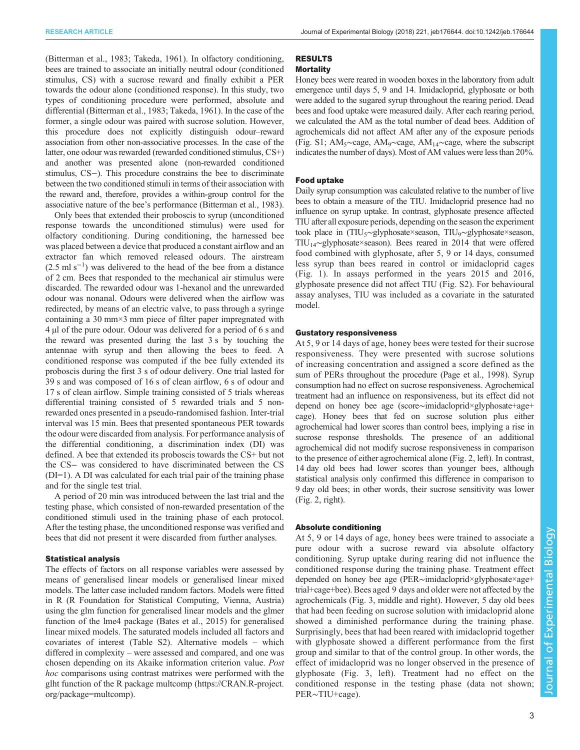[\(Bitterman et al., 1983](#page-6-0); [Takeda, 1961](#page-6-0)). In olfactory conditioning, bees are trained to associate an initially neutral odour (conditioned stimulus, CS) with a sucrose reward and finally exhibit a PER towards the odour alone (conditioned response). In this study, two types of conditioning procedure were performed, absolute and differential [\(Bitterman et al., 1983; Takeda, 1961](#page-6-0)). In the case of the former, a single odour was paired with sucrose solution. However, this procedure does not explicitly distinguish odour–reward association from other non-associative processes. In the case of the latter, one odour was rewarded (rewarded conditioned stimulus, CS+) and another was presented alone (non-rewarded conditioned stimulus, CS−). This procedure constrains the bee to discriminate between the two conditioned stimuli in terms of their association with the reward and, therefore, provides a within-group control for the associative nature of the bee's performance ([Bitterman et al., 1983\)](#page-6-0).

Only bees that extended their proboscis to syrup (unconditioned response towards the unconditioned stimulus) were used for olfactory conditioning. During conditioning, the harnessed bee was placed between a device that produced a constant airflow and an extractor fan which removed released odours. The airstream  $(2.5 \text{ ml s}^{-1})$  was delivered to the head of the bee from a distance of 2 cm. Bees that responded to the mechanical air stimulus were discarded. The rewarded odour was 1-hexanol and the unrewarded odour was nonanal. Odours were delivered when the airflow was redirected, by means of an electric valve, to pass through a syringe containing a 30 mm×3 mm piece of filter paper impregnated with 4 µl of the pure odour. Odour was delivered for a period of 6 s and the reward was presented during the last 3 s by touching the antennae with syrup and then allowing the bees to feed. A conditioned response was computed if the bee fully extended its proboscis during the first 3 s of odour delivery. One trial lasted for 39 s and was composed of 16 s of clean airflow, 6 s of odour and 17 s of clean airflow. Simple training consisted of 5 trials whereas differential training consisted of 5 rewarded trials and 5 nonrewarded ones presented in a pseudo-randomised fashion. Inter-trial interval was 15 min. Bees that presented spontaneous PER towards the odour were discarded from analysis. For performance analysis of the differential conditioning, a discrimination index (DI) was defined. A bee that extended its proboscis towards the CS+ but not the CS− was considered to have discriminated between the CS (DI=1). A DI was calculated for each trial pair of the training phase and for the single test trial.

A period of 20 min was introduced between the last trial and the testing phase, which consisted of non-rewarded presentation of the conditioned stimuli used in the training phase of each protocol. After the testing phase, the unconditioned response was verified and bees that did not present it were discarded from further analyses.

#### Statistical analysis

The effects of factors on all response variables were assessed by means of generalised linear models or generalised linear mixed models. The latter case included random factors. Models were fitted in R (R Foundation for Statistical Computing, Vienna, Austria) using the glm function for generalised linear models and the glmer function of the lme4 package [\(Bates et al., 2015\)](#page-6-0) for generalised linear mixed models. The saturated models included all factors and covariates of interest [\(Table S2\)](http://jeb.biologists.org/lookup/doi/10.1242/jeb.176644.supplemental). Alternative models – which differed in complexity – were assessed and compared, and one was chosen depending on its Akaike information criterion value. Post hoc comparisons using contrast matrixes were performed with the glht function of the R package multcomp [\(https://CRAN.R-project.](https://CRAN.R-project.org/package=multcomp) [org/package=multcomp](https://CRAN.R-project.org/package=multcomp)).

# RESULTS

# **Mortality**

Honey bees were reared in wooden boxes in the laboratory from adult emergence until days 5, 9 and 14. Imidacloprid, glyphosate or both were added to the sugared syrup throughout the rearing period. Dead bees and food uptake were measured daily. After each rearing period, we calculated the AM as the total number of dead bees. Addition of agrochemicals did not affect AM after any of the exposure periods [\(Fig. S1](http://jeb.biologists.org/lookup/doi/10.1242/jeb.176644.supplemental); AM5∼cage, AM9∼cage, AM14∼cage, where the subscript indicates the number of days). Most of AM values were less than 20%.

#### Food uptake

Daily syrup consumption was calculated relative to the number of live bees to obtain a measure of the TIU. Imidacloprid presence had no influence on syrup uptake. In contrast, glyphosate presence affected TIU after all exposure periods, depending on the season the experiment took place in (TIU5∼glyphosate×season, TIU9∼glyphosate×season, TIU14∼glyphosate×season). Bees reared in 2014 that were offered food combined with glyphosate, after 5, 9 or 14 days, consumed less syrup than bees reared in control or imidacloprid cages [\(Fig. 1\)](#page-3-0). In assays performed in the years 2015 and 2016, glyphosate presence did not affect TIU [\(Fig. S2](http://jeb.biologists.org/lookup/doi/10.1242/jeb.176644.supplemental)). For behavioural assay analyses, TIU was included as a covariate in the saturated model.

#### Gustatory responsiveness

At 5, 9 or 14 days of age, honey bees were tested for their sucrose responsiveness. They were presented with sucrose solutions of increasing concentration and assigned a score defined as the sum of PERs throughout the procedure [\(Page et al., 1998\)](#page-6-0). Syrup consumption had no effect on sucrose responsiveness. Agrochemical treatment had an influence on responsiveness, but its effect did not depend on honey bee age (score∼imidacloprid×glyphosate+age+ cage). Honey bees that fed on sucrose solution plus either agrochemical had lower scores than control bees, implying a rise in sucrose response thresholds. The presence of an additional agrochemical did not modify sucrose responsiveness in comparison to the presence of either agrochemical alone ([Fig. 2](#page-3-0), left). In contrast, 14 day old bees had lower scores than younger bees, although statistical analysis only confirmed this difference in comparison to 9 day old bees; in other words, their sucrose sensitivity was lower [\(Fig. 2,](#page-3-0) right).

#### Absolute conditioning

At 5, 9 or 14 days of age, honey bees were trained to associate a pure odour with a sucrose reward via absolute olfactory conditioning. Syrup uptake during rearing did not influence the conditioned response during the training phase. Treatment effect depended on honey bee age (PER∼imidacloprid×glyphosate×age+ trial+cage+bee). Bees aged 9 days and older were not affected by the agrochemicals ([Fig. 3](#page-4-0), middle and right). However, 5 day old bees that had been feeding on sucrose solution with imidacloprid alone showed a diminished performance during the training phase. Surprisingly, bees that had been reared with imidacloprid together with glyphosate showed a different performance from the first group and similar to that of the control group. In other words, the effect of imidacloprid was no longer observed in the presence of glyphosate ([Fig. 3,](#page-4-0) left). Treatment had no effect on the conditioned response in the testing phase (data not shown; PER∼TIU+cage).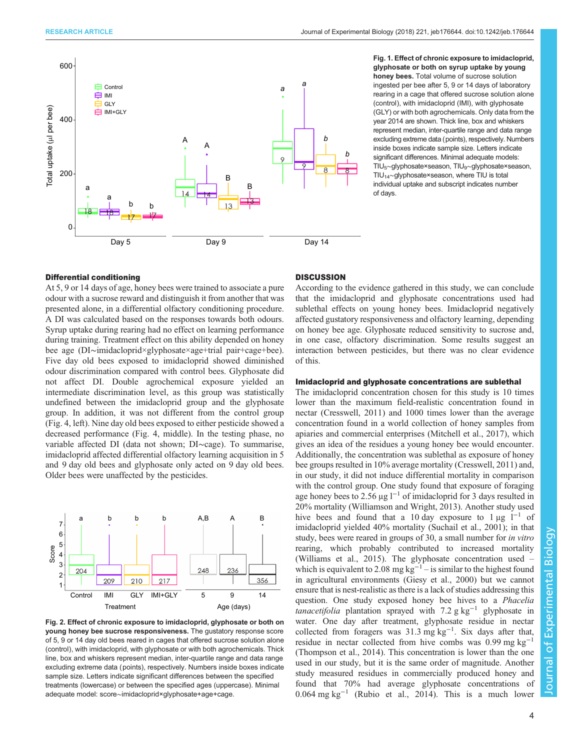<span id="page-3-0"></span>

Fig. 1. Effect of chronic exposure to imidacloprid, glyphosate or both on syrup uptake by young honey bees. Total volume of sucrose solution ingested per bee after 5, 9 or 14 days of laboratory rearing in a cage that offered sucrose solution alone (control), with imidacloprid (IMI), with glyphosate (GLY) or with both agrochemicals. Only data from the year 2014 are shown. Thick line, box and whiskers represent median, inter-quartile range and data range excluding extreme data (points), respectively. Numbers inside boxes indicate sample size. Letters indicate significant differences. Minimal adequate models: TIU5∼glyphosate×season, TIU9∼glyphosate×season, TIU14∼glyphosate×season, where TIU is total individual uptake and subscript indicates number of days.

#### Differential conditioning

At 5, 9 or 14 days of age, honey bees were trained to associate a pure odour with a sucrose reward and distinguish it from another that was presented alone, in a differential olfactory conditioning procedure. A DI was calculated based on the responses towards both odours. Syrup uptake during rearing had no effect on learning performance during training. Treatment effect on this ability depended on honey bee age (DI∼imidacloprid×glyphosate×age+trial pair+cage+bee). Five day old bees exposed to imidacloprid showed diminished odour discrimination compared with control bees. Glyphosate did not affect DI. Double agrochemical exposure yielded an intermediate discrimination level, as this group was statistically undefined between the imidacloprid group and the glyphosate group. In addition, it was not different from the control group [\(Fig. 4,](#page-4-0) left). Nine day old bees exposed to either pesticide showed a decreased performance ([Fig. 4](#page-4-0), middle). In the testing phase, no variable affected DI (data not shown; DI∼cage). To summarise, imidacloprid affected differential olfactory learning acquisition in 5 and 9 day old bees and glyphosate only acted on 9 day old bees. Older bees were unaffected by the pesticides.



Fig. 2. Effect of chronic exposure to imidacloprid, glyphosate or both on young honey bee sucrose responsiveness. The gustatory response score of 5, 9 or 14 day old bees reared in cages that offered sucrose solution alone (control), with imidacloprid, with glyphosate or with both agrochemicals. Thick line, box and whiskers represent median, inter-quartile range and data range excluding extreme data (points), respectively. Numbers inside boxes indicate sample size. Letters indicate significant differences between the specified treatments (lowercase) or between the specified ages (uppercase). Minimal adequate model: score∼imidacloprid×glyphosate+age+cage.

## **DISCUSSION**

According to the evidence gathered in this study, we can conclude that the imidacloprid and glyphosate concentrations used had sublethal effects on young honey bees. Imidacloprid negatively affected gustatory responsiveness and olfactory learning, depending on honey bee age. Glyphosate reduced sensitivity to sucrose and, in one case, olfactory discrimination. Some results suggest an interaction between pesticides, but there was no clear evidence of this.

#### Imidacloprid and glyphosate concentrations are sublethal

The imidacloprid concentration chosen for this study is 10 times lower than the maximum field-realistic concentration found in nectar ([Cresswell, 2011\)](#page-6-0) and 1000 times lower than the average concentration found in a world collection of honey samples from apiaries and commercial enterprises ([Mitchell et al., 2017](#page-6-0)), which gives an idea of the residues a young honey bee would encounter. Additionally, the concentration was sublethal as exposure of honey bee groups resulted in 10% average mortality [\(Cresswell, 2011](#page-6-0)) and, in our study, it did not induce differential mortality in comparison with the control group. One study found that exposure of foraging age honey bees to 2.56 μg  $l^{-1}$  of imidacloprid for 3 days resulted in 20% mortality [\(Williamson and Wright, 2013](#page-7-0)). Another study used hive bees and found that a 10 day exposure to  $1 \mu g$  l<sup>-1</sup> of imidacloprid yielded 40% mortality [\(Suchail et al., 2001\)](#page-6-0); in that study, bees were reared in groups of 30, a small number for in vitro rearing, which probably contributed to increased mortality [\(Williams et al., 2015\)](#page-7-0). The glyphosate concentration used – which is equivalent to 2.08 mg  $kg^{-1}$  – is similar to the highest found in agricultural environments [\(Giesy et al., 2000](#page-6-0)) but we cannot ensure that is nest-realistic as there is a lack of studies addressing this question. One study exposed honey bee hives to a Phacelia *tanacetifolia* plantation sprayed with 7.2 g kg<sup>-1</sup> glyphosate in water. One day after treatment, glyphosate residue in nectar collected from foragers was 31.3 mg kg−<sup>1</sup> . Six days after that, residue in nectar collected from hive combs was  $0.99$  mg kg<sup>-1</sup> [\(Thompson et al., 2014\)](#page-6-0). This concentration is lower than the one used in our study, but it is the same order of magnitude. Another study measured residues in commercially produced honey and found that 70% had average glyphosate concentrations of 0.064 mg kg−<sup>1</sup> ([Rubio et al., 2014](#page-6-0)). This is a much lower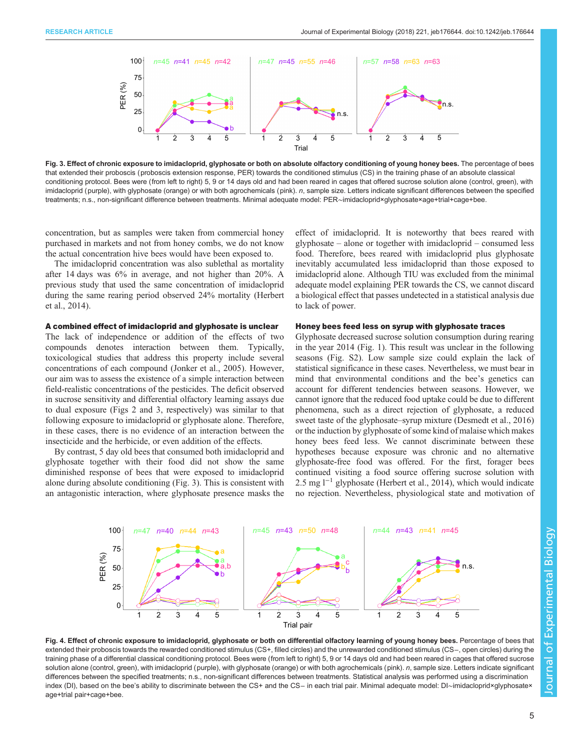<span id="page-4-0"></span>

Fig. 3. Effect of chronic exposure to imidacloprid, glyphosate or both on absolute olfactory conditioning of young honey bees. The percentage of bees that extended their proboscis (proboscis extension response, PER) towards the conditioned stimulus (CS) in the training phase of an absolute classical conditioning protocol. Bees were (from left to right) 5, 9 or 14 days old and had been reared in cages that offered sucrose solution alone (control, green), with imidacloprid (purple), with glyphosate (orange) or with both agrochemicals (pink). n, sample size. Letters indicate significant differences between the specified treatments; n.s., non-significant difference between treatments. Minimal adequate model: PER∼imidacloprid×glyphosate×age+trial+cage+bee.

concentration, but as samples were taken from commercial honey purchased in markets and not from honey combs, we do not know the actual concentration hive bees would have been exposed to.

The imidacloprid concentration was also sublethal as mortality after 14 days was 6% in average, and not higher than 20%. A previous study that used the same concentration of imidacloprid during the same rearing period observed 24% mortality [\(Herbert](#page-6-0) [et al., 2014\)](#page-6-0).

#### A combined effect of imidacloprid and glyphosate is unclear

The lack of independence or addition of the effects of two compounds denotes interaction between them. Typically, toxicological studies that address this property include several concentrations of each compound [\(Jonker et al., 2005\)](#page-6-0). However, our aim was to assess the existence of a simple interaction between field-realistic concentrations of the pesticides. The deficit observed in sucrose sensitivity and differential olfactory learning assays due to dual exposure [\(Figs 2](#page-3-0) and 3, respectively) was similar to that following exposure to imidacloprid or glyphosate alone. Therefore, in these cases, there is no evidence of an interaction between the insecticide and the herbicide, or even addition of the effects.

By contrast, 5 day old bees that consumed both imidacloprid and glyphosate together with their food did not show the same diminished response of bees that were exposed to imidacloprid alone during absolute conditioning (Fig. 3). This is consistent with an antagonistic interaction, where glyphosate presence masks the effect of imidacloprid. It is noteworthy that bees reared with glyphosate – alone or together with imidacloprid – consumed less food. Therefore, bees reared with imidacloprid plus glyphosate inevitably accumulated less imidacloprid than those exposed to imidacloprid alone. Although TIU was excluded from the minimal adequate model explaining PER towards the CS, we cannot discard a biological effect that passes undetected in a statistical analysis due to lack of power.

#### Honey bees feed less on syrup with glyphosate traces

Glyphosate decreased sucrose solution consumption during rearing in the year 2014 [\(Fig. 1](#page-3-0)). This result was unclear in the following seasons ([Fig. S2\)](http://jeb.biologists.org/lookup/doi/10.1242/jeb.176644.supplemental). Low sample size could explain the lack of statistical significance in these cases. Nevertheless, we must bear in mind that environmental conditions and the bee's genetics can account for different tendencies between seasons. However, we cannot ignore that the reduced food uptake could be due to different phenomena, such as a direct rejection of glyphosate, a reduced sweet taste of the glyphosate–syrup mixture ([Desmedt et al., 2016\)](#page-6-0) or the induction by glyphosate of some kind of malaise which makes honey bees feed less. We cannot discriminate between these hypotheses because exposure was chronic and no alternative glyphosate-free food was offered. For the first, forager bees continued visiting a food source offering sucrose solution with 2.5 mg l−<sup>1</sup> glyphosate ([Herbert et al., 2014](#page-6-0)), which would indicate no rejection. Nevertheless, physiological state and motivation of



Fig. 4. Effect of chronic exposure to imidacloprid, glyphosate or both on differential olfactory learning of young honey bees. Percentage of bees that extended their proboscis towards the rewarded conditioned stimulus (CS+, filled circles) and the unrewarded conditioned stimulus (CS−, open circles) during the training phase of a differential classical conditioning protocol. Bees were (from left to right) 5, 9 or 14 days old and had been reared in cages that offered sucrose solution alone (control, green), with imidacloprid (purple), with glyphosate (orange) or with both agrochemicals (pink). n, sample size. Letters indicate significant differences between the specified treatments; n.s., non-significant differences between treatments. Statistical analysis was performed using a discrimination index (DI), based on the bee's ability to discriminate between the CS+ and the CS− in each trial pair. Minimal adequate model: DI∼imidacloprid×glyphosate× age+trial pair+cage+bee.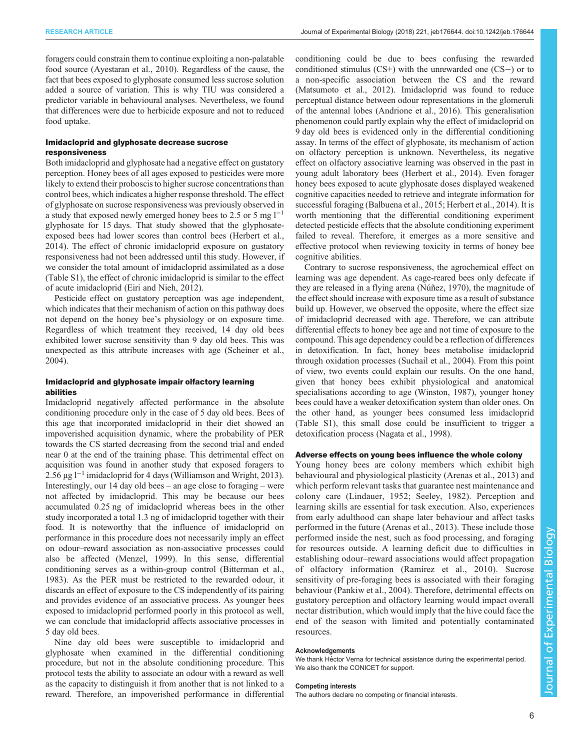foragers could constrain them to continue exploiting a non-palatable food source [\(Ayestaran et al., 2010](#page-6-0)). Regardless of the cause, the fact that bees exposed to glyphosate consumed less sucrose solution added a source of variation. This is why TIU was considered a predictor variable in behavioural analyses. Nevertheless, we found that differences were due to herbicide exposure and not to reduced food uptake.

# Imidacloprid and glyphosate decrease sucrose responsiveness

Both imidacloprid and glyphosate had a negative effect on gustatory perception. Honey bees of all ages exposed to pesticides were more likely to extend their proboscis to higher sucrose concentrations than control bees, which indicates a higher response threshold. The effect of glyphosate on sucrose responsiveness was previously observed in a study that exposed newly emerged honey bees to 2.5 or 5 mg  $l^{-1}$ glyphosate for 15 days. That study showed that the glyphosateexposed bees had lower scores than control bees ([Herbert et al.,](#page-6-0) [2014](#page-6-0)). The effect of chronic imidacloprid exposure on gustatory responsiveness had not been addressed until this study. However, if we consider the total amount of imidacloprid assimilated as a dose [\(Table S1](http://jeb.biologists.org/lookup/doi/10.1242/jeb.176644.supplemental)), the effect of chronic imidacloprid is similar to the effect of acute imidacloprid [\(Eiri and Nieh, 2012\)](#page-6-0).

Pesticide effect on gustatory perception was age independent, which indicates that their mechanism of action on this pathway does not depend on the honey bee's physiology or on exposure time. Regardless of which treatment they received, 14 day old bees exhibited lower sucrose sensitivity than 9 day old bees. This was unexpected as this attribute increases with age [\(Scheiner et al.,](#page-6-0) [2004](#page-6-0)).

# Imidacloprid and glyphosate impair olfactory learning abilities

Imidacloprid negatively affected performance in the absolute conditioning procedure only in the case of 5 day old bees. Bees of this age that incorporated imidacloprid in their diet showed an impoverished acquisition dynamic, where the probability of PER towards the CS started decreasing from the second trial and ended near 0 at the end of the training phase. This detrimental effect on acquisition was found in another study that exposed foragers to 2.56 µg l−<sup>1</sup> imidacloprid for 4 days [\(Williamson and Wright, 2013\)](#page-7-0). Interestingly, our 14 day old bees – an age close to foraging – were not affected by imidacloprid. This may be because our bees accumulated 0.25 ng of imidacloprid whereas bees in the other study incorporated a total 1.3 ng of imidacloprid together with their food. It is noteworthy that the influence of imidacloprid on performance in this procedure does not necessarily imply an effect on odour–reward association as non-associative processes could also be affected [\(Menzel, 1999\)](#page-6-0). In this sense, differential conditioning serves as a within-group control ([Bitterman et al.,](#page-6-0) [1983](#page-6-0)). As the PER must be restricted to the rewarded odour, it discards an effect of exposure to the CS independently of its pairing and provides evidence of an associative process. As younger bees exposed to imidacloprid performed poorly in this protocol as well, we can conclude that imidacloprid affects associative processes in 5 day old bees.

Nine day old bees were susceptible to imidacloprid and glyphosate when examined in the differential conditioning procedure, but not in the absolute conditioning procedure. This protocol tests the ability to associate an odour with a reward as well as the capacity to distinguish it from another that is not linked to a reward. Therefore, an impoverished performance in differential

conditioning could be due to bees confusing the rewarded conditioned stimulus (CS+) with the unrewarded one (CS−) or to a non-specific association between the CS and the reward [\(Matsumoto et al., 2012](#page-6-0)). Imidacloprid was found to reduce perceptual distance between odour representations in the glomeruli of the antennal lobes ([Andrione et al., 2016\)](#page-6-0). This generalisation phenomenon could partly explain why the effect of imidacloprid on 9 day old bees is evidenced only in the differential conditioning assay. In terms of the effect of glyphosate, its mechanism of action on olfactory perception is unknown. Nevertheless, its negative effect on olfactory associative learning was observed in the past in young adult laboratory bees ([Herbert et al., 2014\)](#page-6-0). Even forager honey bees exposed to acute glyphosate doses displayed weakened cognitive capacities needed to retrieve and integrate information for successful foraging [\(Balbuena et al., 2015](#page-6-0); [Herbert et al., 2014](#page-6-0)). It is worth mentioning that the differential conditioning experiment detected pesticide effects that the absolute conditioning experiment failed to reveal. Therefore, it emerges as a more sensitive and effective protocol when reviewing toxicity in terms of honey bee cognitive abilities.

Contrary to sucrose responsiveness, the agrochemical effect on learning was age dependent. As cage-reared bees only defecate if they are released in a flying arena ([Núñez, 1970](#page-6-0)), the magnitude of the effect should increase with exposure time as a result of substance build up. However, we observed the opposite, where the effect size of imidacloprid decreased with age. Therefore, we can attribute differential effects to honey bee age and not time of exposure to the compound. This age dependency could be a reflection of differences in detoxification. In fact, honey bees metabolise imidacloprid through oxidation processes ([Suchail et al., 2004](#page-6-0)). From this point of view, two events could explain our results. On the one hand, given that honey bees exhibit physiological and anatomical specialisations according to age [\(Winston, 1987\)](#page-7-0), younger honey bees could have a weaker detoxification system than older ones. On the other hand, as younger bees consumed less imidacloprid [\(Table S1](http://jeb.biologists.org/lookup/doi/10.1242/jeb.176644.supplemental)), this small dose could be insufficient to trigger a detoxification process [\(Nagata et al., 1998](#page-6-0)).

# Adverse effects on young bees influence the whole colony

Young honey bees are colony members which exhibit high behavioural and physiological plasticity ([Arenas et al., 2013\)](#page-6-0) and which perform relevant tasks that guarantee nest maintenance and colony care ([Lindauer, 1952](#page-6-0); [Seeley, 1982](#page-6-0)). Perception and learning skills are essential for task execution. Also, experiences from early adulthood can shape later behaviour and affect tasks performed in the future ([Arenas et al., 2013](#page-6-0)). These include those performed inside the nest, such as food processing, and foraging for resources outside. A learning deficit due to difficulties in establishing odour–reward associations would affect propagation of olfactory information ([Ramírez et al., 2010](#page-6-0)). Sucrose sensitivity of pre-foraging bees is associated with their foraging behaviour ([Pankiw et al., 2004\)](#page-6-0). Therefore, detrimental effects on gustatory perception and olfactory learning would impact overall nectar distribution, which would imply that the hive could face the end of the season with limited and potentially contaminated resources.

#### Acknowledgements

We thank Héctor Verna for technical assistance during the experimental period. We also thank the CONICET for support.

#### Competing interests

The authors declare no competing or financial interests.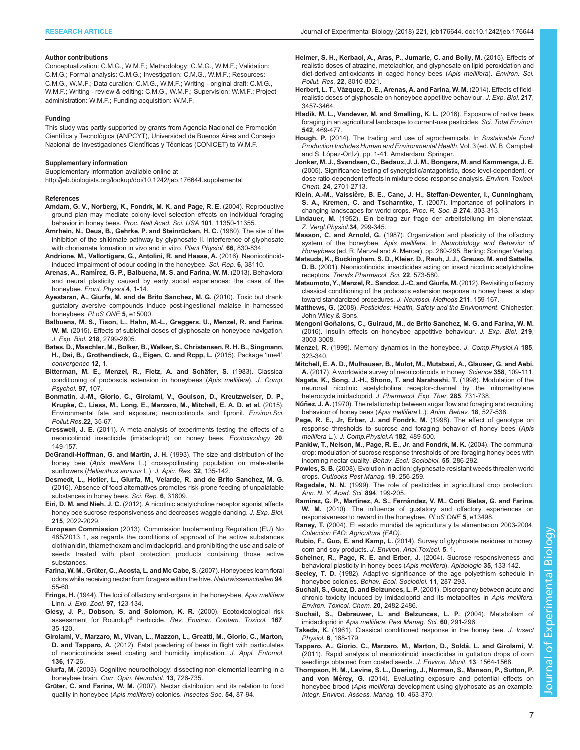#### <span id="page-6-0"></span>Author contributions

Conceptualization: C.M.G., W.M.F.; Methodology: C.M.G., W.M.F.; Validation: C.M.G.; Formal analysis: C.M.G.; Investigation: C.M.G., W.M.F.; Resources: C.M.G., W.M.F.; Data curation: C.M.G., W.M.F.; Writing - original draft: C.M.G., W.M.F.; Writing - review & editing: C.M.G., W.M.F.; Supervision: W.M.F.; Project administration: W.M.F.; Funding acquisition: W.M.F.

#### Funding

This study was partly supported by grants from Agencia Nacional de Promoción Científica y Tecnológica (ANPCYT), Universidad de Buenos Aires and Consejo Nacional de Investigaciones Científicas y Técnicas (CONICET) to W.M.F.

#### Supplementary information

Supplementary information available online at <http://jeb.biologists.org/lookup/doi/10.1242/jeb.176644.supplemental>

#### References

- [Amdam, G. V., Norberg, K., Fondrk, M. K. and Page, R. E.](http://dx.doi.org/10.1073/pnas.0403073101) (2004). Reproductive [ground plan may mediate colony-level selection effects on individual foraging](http://dx.doi.org/10.1073/pnas.0403073101) behavior in honey bees. [Proc. Natl Acad. Sci. USA](http://dx.doi.org/10.1073/pnas.0403073101) 101, 11350-11355.
- Amrhein, N., Deus, B., Gehrke, P. and Steinrücken, H. C. (1980). The site of the [inhibition of the shikimate pathway by glyphosate II. Interference of glyphosate](http://dx.doi.org/10.1104/pp.66.5.830) [with chorismate formation in vivo and in vitro.](http://dx.doi.org/10.1104/pp.66.5.830) Plant Physiol. 66, 830-834.
- [Andrione, M., Vallortigara, G., Antolini, R. and Haase, A.](http://dx.doi.org/10.1038/srep38110) (2016). Neonicotinoid[induced impairment of odour coding in the honeybee.](http://dx.doi.org/10.1038/srep38110) Sci. Rep. 6, 38110.
- Arenas, A., Ramí[rez, G. P., Balbuena, M. S. and Farina, W. M.](http://dx.doi.org/10.3389/fphys.2013.00041) (2013). Behavioral [and neural plasticity caused by early social experiences: the case of the](http://dx.doi.org/10.3389/fphys.2013.00041) honeybee. [Front. Physiol.](http://dx.doi.org/10.3389/fphys.2013.00041)4, 1-14.
- [Ayestaran, A., Giurfa, M. and de Brito Sanchez, M. G.](http://dx.doi.org/10.1371/journal.pone.0015000) (2010). Toxic but drank: [gustatory aversive compounds induce post-ingestional malaise in harnessed](http://dx.doi.org/10.1371/journal.pone.0015000) [honeybees.](http://dx.doi.org/10.1371/journal.pone.0015000) PLoS ONE 5, e15000.
- [Balbuena, M. S., Tison, L., Hahn, M.-L., Greggers, U., Menzel, R. and Farina,](http://dx.doi.org/10.1242/jeb.117291) W. M. [\(2015\). Effects of sublethal doses of glyphosate on honeybee navigation.](http://dx.doi.org/10.1242/jeb.117291) J. Exp. Biol. 218[, 2799-2805.](http://dx.doi.org/10.1242/jeb.117291)
- Bates, D., Maechler, M., Bolker, B., Walker, S., Christensen, R. H. B., Singmann, H., Dai, B., Grothendieck, G., Eigen, C. and Rcpp, L. (2015). Package 'lme4'. convergence 12, 1.
- [Bitterman, M. E., Menzel, R., Fietz, A. and Scha](http://dx.doi.org/10.1037/0735-7036.97.2.107)̈fer, S. (1983). Classical [conditioning of proboscis extension in honeybees \(](http://dx.doi.org/10.1037/0735-7036.97.2.107)Apis mellifera). J. Comp. [Psychol.](http://dx.doi.org/10.1037/0735-7036.97.2.107) 97, 107.
- [Bonmatin, J.-M., Giorio, C., Girolami, V., Goulson, D., Kreutzweiser, D. P.,](http://dx.doi.org/10.1007/s11356-014-3332-7) [Krupke, C., Liess, M., Long, E., Marzaro, M., Mitchell, E. A. D. et al.](http://dx.doi.org/10.1007/s11356-014-3332-7) (2015). [Environmental fate and exposure; neonicotinoids and fipronil.](http://dx.doi.org/10.1007/s11356-014-3332-7) Environ.Sci. [Pollut.Res.](http://dx.doi.org/10.1007/s11356-014-3332-7)22, 35-67.
- Cresswell, J. E. [\(2011\). A meta-analysis of experiments testing the effects of a](http://dx.doi.org/10.1007/s10646-010-0566-0) [neonicotinoid insecticide \(imidacloprid\) on honey bees.](http://dx.doi.org/10.1007/s10646-010-0566-0) Ecotoxicology 20, [149-157.](http://dx.doi.org/10.1007/s10646-010-0566-0)
- [DeGrandi-Hoffman, G. and Martin, J. H.](http://dx.doi.org/10.1080/00218839.1993.11101298) (1993). The size and distribution of the honey bee (Apis mellifera [L.\) cross-pollinating population on male-sterile](http://dx.doi.org/10.1080/00218839.1993.11101298) sunflowers ([Helianthus annuus](http://dx.doi.org/10.1080/00218839.1993.11101298) L.). J. Apic. Res. 32, 135-142.
- [Desmedt, L., Hotier, L., Giurfa, M., Velarde, R. and de Brito Sanchez, M. G.](http://dx.doi.org/10.1038/srep31809) [\(2016\). Absence of food alternatives promotes risk-prone feeding of unpalatable](http://dx.doi.org/10.1038/srep31809) [substances in honey bees.](http://dx.doi.org/10.1038/srep31809) Sci. Rep. 6, 31809.
- Eiri, D. M. and Nieh, J. C. [\(2012\). A nicotinic acetylcholine receptor agonist affects](http://dx.doi.org/10.1242/jeb.068718) [honey bee sucrose responsiveness and decreases waggle dancing.](http://dx.doi.org/10.1242/jeb.068718) J. Exp. Biol. 215[, 2022-2029.](http://dx.doi.org/10.1242/jeb.068718)
- European Commission (2013). Commission Implementing Regulation (EU) No 485/2013 1, as regards the conditions of approval of the active substances clothianidin, thiamethoxam and imidacloprid, and prohibiting the use and sale of seeds treated with plant protection products containing those active substances.
- Farina, W. M., Grü[ter, C., Acosta, L. and Mc Cabe, S.](http://dx.doi.org/10.1007/s00114-006-0157-3) (2007). Honeybees learn floral [odors while receiving nectar from foragers within the hive.](http://dx.doi.org/10.1007/s00114-006-0157-3) Naturwissenschaften 94, [55-60.](http://dx.doi.org/10.1007/s00114-006-0157-3)
- Frings, H. [\(1944\). The loci of olfactory end-organs in the honey-bee,](http://dx.doi.org/10.1002/jez.1400970203) Apis mellifera Linn. [J. Exp. Zool.](http://dx.doi.org/10.1002/jez.1400970203) 97, 123-134.
- [Giesy, J. P., Dobson, S. and Solomon, K. R.](http://dx.doi.org/10.1007/978-1-4612-1156-3_2) (2000). Ecotoxicological risk [assessment for Roundup](http://dx.doi.org/10.1007/978-1-4612-1156-3_2)® herbicide. [Rev. Environ. Contam. Toxicol.](http://dx.doi.org/10.1007/978-1-4612-1156-3_2) 167, [35-120.](http://dx.doi.org/10.1007/978-1-4612-1156-3_2)
- [Girolami, V., Marzaro, M., Vivan, L., Mazzon, L., Greatti, M., Giorio, C., Marton,](http://dx.doi.org/10.1111/j.1439-0418.2011.01648.x) D. and Tapparo, A. [\(2012\). Fatal powdering of bees in flight with particulates](http://dx.doi.org/10.1111/j.1439-0418.2011.01648.x) [of neonicotinoids seed coating and humidity implication.](http://dx.doi.org/10.1111/j.1439-0418.2011.01648.x) J. Appl. Entomol. 136[, 17-26.](http://dx.doi.org/10.1111/j.1439-0418.2011.01648.x)
- Giurfa, M. [\(2003\). Cognitive neuroethology: dissecting non-elemental learning in a](http://dx.doi.org/10.1016/j.conb.2003.10.015) honeybee brain. [Curr. Opin. Neurobiol.](http://dx.doi.org/10.1016/j.conb.2003.10.015) 13, 726-735.
- Grüter, C. and Farina, W. M. [\(2007\). Nectar distribution and its relation to food](http://dx.doi.org/10.1007/s00040-007-0915-z) [quality in honeybee \(](http://dx.doi.org/10.1007/s00040-007-0915-z)Apis mellifera) colonies. Insectes Soc. 54, 87-94.
- [Helmer, S. H., Kerbaol, A., Aras, P., Jumarie, C. and Boily, M.](http://dx.doi.org/10.1007/s11356-014-2879-7) (2015). Effects of [realistic doses of atrazine, metolachlor, and glyphosate on lipid peroxidation and](http://dx.doi.org/10.1007/s11356-014-2879-7) [diet-derived antioxidants in caged honey bees \(](http://dx.doi.org/10.1007/s11356-014-2879-7)Apis mellifera). Environ. Sci. Pollut. Res. 22[, 8010-8021.](http://dx.doi.org/10.1007/s11356-014-2879-7)
- Herbert, L. T., Vá[zquez, D. E., Arenas, A. and Farina, W. M.](http://dx.doi.org/10.1242/jeb.109520) (2014). Effects of field[realistic doses of glyphosate on honeybee appetitive behaviour.](http://dx.doi.org/10.1242/jeb.109520) J. Exp. Biol. 217, [3457-3464.](http://dx.doi.org/10.1242/jeb.109520)
- [Hladik, M. L., Vandever, M. and Smalling, K. L.](http://dx.doi.org/10.1016/j.scitotenv.2015.10.077) (2016). Exposure of native bees [foraging in an agricultural landscape to current-use pesticides.](http://dx.doi.org/10.1016/j.scitotenv.2015.10.077) Sci. Total Environ. 542[, 469-477.](http://dx.doi.org/10.1016/j.scitotenv.2015.10.077)
- Hough, P. (2014). The trading and use of agrochemicals. In Sustainable Food Production Includes Human and Environmental Health, Vol. 3 (ed. W. B. Campbell and S. López-Ortíz), pp. 1-41. Amsterdam: Springer.
- [Jonker, M. J., Svendsen, C., Bedaux, J. J. M., Bongers, M. and Kammenga, J. E.](http://dx.doi.org/10.1897/04-431R.1) [\(2005\). Significance testing of synergistic/antagonistic, dose level-dependent, or](http://dx.doi.org/10.1897/04-431R.1) [dose ratio-dependent effects in mixture dose-response analysis.](http://dx.doi.org/10.1897/04-431R.1) Environ. Toxicol. Chem. 24[, 2701-2713.](http://dx.doi.org/10.1897/04-431R.1)
- Klein, A.-M., Vaissière, B. E., Cane, J. H., Steffan-Dewenter, I., Cunningham, [S. A., Kremen, C. and Tscharntke, T.](http://dx.doi.org/10.1098/rspb.2006.3721) (2007). Importance of pollinators in [changing landscapes for world crops.](http://dx.doi.org/10.1098/rspb.2006.3721) Proc. R. Soc. B 274, 303-313.
- Lindauer, M. [\(1952\). Ein beitrag zur frage der arbeitsteilung im bienenstaat.](http://dx.doi.org/10.1007/BF00298048) [Z. Vergl.Physiol.](http://dx.doi.org/10.1007/BF00298048)34, 299-345.
- Masson, C. and Arnold, G. (1987). Organization and plasticity of the olfactory system of the honeybee, Apis mellifera. In Neurobiology and Behavior of Honeybees (ed. R. Menzel and A. Mercer), pp. 280-295. Berling: Springer Verlag.
- [Matsuda, K., Buckingham, S. D., Kleier, D., Rauh, J. J., Grauso, M. and Sattelle,](http://dx.doi.org/10.1016/S0165-6147(00)01820-4) D. B. [\(2001\). Neonicotinoids: insecticides acting on insect nicotinic acetylcholine](http://dx.doi.org/10.1016/S0165-6147(00)01820-4) receptors. [Trends Pharmacol. Sci.](http://dx.doi.org/10.1016/S0165-6147(00)01820-4) 22, 573-580.
- [Matsumoto, Y., Menzel, R., Sandoz, J.-C. and Giurfa, M.](http://dx.doi.org/10.1016/j.jneumeth.2012.08.018) (2012). Revisiting olfactory [classical conditioning of the proboscis extension response in honey bees: a step](http://dx.doi.org/10.1016/j.jneumeth.2012.08.018) [toward standardized procedures.](http://dx.doi.org/10.1016/j.jneumeth.2012.08.018) J. Neurosci. Methods 211, 159-167
- Matthews, G. (2008). Pesticides: Health, Safety and the Environment. Chichester: John Wiley & Sons.
- Mengoni Goñ[alons, C., Guiraud, M., de Brito Sanchez, M. G. and Farina, W. M.](http://dx.doi.org/10.1242/jeb.143511) [\(2016\). Insulin effects on honeybee appetitive behaviour.](http://dx.doi.org/10.1242/jeb.143511) J. Exp. Biol. 219, [3003-3008.](http://dx.doi.org/10.1242/jeb.143511)
- Menzel, R. [\(1999\). Memory dynamics in the honeybee.](http://dx.doi.org/10.1007/s003590050392) J. Comp.Physiol.A 185, [323-340.](http://dx.doi.org/10.1007/s003590050392)

[Mitchell, E. A. D., Mulhauser, B., Mulot, M., Mutabazi, A., Glauser, G. and Aebi,](http://dx.doi.org/10.1126/science.aan3684) A. [\(2017\). A worldwide survey of neonicotinoids in honey.](http://dx.doi.org/10.1126/science.aan3684) Science 358, 109-111.

- Nagata, K., Song, J.-H., Shono, T. and Narahashi, T. (1998). Modulation of the neuronal nicotinic acetylcholine receptor-channel by the nitromethylene heterocycle imidacloprid. J. Pharmacol. Exp. Ther. 285, 731-738.
- Núñez, J. A. [\(1970\). The relationship between sugar flow and foraging and recruiting](http://dx.doi.org/10.1016/0003-3472(70)90049-7) [behaviour of honey bees \(](http://dx.doi.org/10.1016/0003-3472(70)90049-7)Apis mellifera L.). Anim. Behav. 18, 527-538.
- [Page, R. E., Jr, Erber, J. and Fondrk, M.](http://dx.doi.org/10.1007/s003590050196) (1998). The effect of genotype on [response thresholds to sucrose and foraging behavior of honey bees \(](http://dx.doi.org/10.1007/s003590050196)Apis mellifera L.). [J. Comp.Physiol.A](http://dx.doi.org/10.1007/s003590050196) 182, 489-500.
- [Pankiw, T., Nelson, M., Page, R. E., Jr. and Fondrk, M. K.](http://dx.doi.org/10.1007/s00265-003-0714-0) (2004). The communal [crop: modulation of sucrose response thresholds of pre-foraging honey bees with](http://dx.doi.org/10.1007/s00265-003-0714-0) [incoming nectar quality.](http://dx.doi.org/10.1007/s00265-003-0714-0) Behav. Ecol. Sociobiol. 55, 286-292.
- Powles, S. B. [\(2008\). Evolution in action: glyphosate-resistant weeds threaten world](http://dx.doi.org/10.1564/19dec07) crops. [Outlooks Pest Manag.](http://dx.doi.org/10.1564/19dec07) 19, 256-259.
- Ragsdale, N. N. [\(1999\). The role of pesticides in agricultural crop protection.](http://dx.doi.org/10.1111/j.1749-6632.1999.tb08065.x) [Ann. N. Y. Acad. Sci.](http://dx.doi.org/10.1111/j.1749-6632.1999.tb08065.x) 894, 199-205.
- Ramírez, G. P., Martínez, A. S., Ferná[ndez, V. M., Corti Bielsa, G. and Farina,](http://dx.doi.org/10.1371/journal.pone.0013498) W. M. [\(2010\). The influence of gustatory and olfactory experiences on](http://dx.doi.org/10.1371/journal.pone.0013498) [responsiveness to reward in the honeybee.](http://dx.doi.org/10.1371/journal.pone.0013498) PLoS ONE 5, e13498.
- Raney, T. (2004). El estado mundial de agricultura y la alimentacion 2003-2004. Coleccion FAO: Agricultura (FAO).
- Rubio, F., Guo, E. and Kamp, L. (2014). Survey of glyphosate residues in honey, corn and soy products. J. Environ. Anal.Toxicol. 5, 1.
- [Scheiner, R., Page, R. E. and Erber, J.](http://dx.doi.org/10.1051/apido:2004001) (2004). Sucrose responsiveness and [behavioral plasticity in honey bees \(](http://dx.doi.org/10.1051/apido:2004001)Apis mellifera). Apidologie 35, 133-142.
- Seeley, T. D. [\(1982\). Adaptive significance of the age polyethism schedule in](http://dx.doi.org/10.1007/BF00299306) honeybee colonies. [Behav. Ecol. Sociobiol.](http://dx.doi.org/10.1007/BF00299306) 11, 287-293.
- [Suchail, S., Guez, D. and Belzunces, L. P.](http://dx.doi.org/10.1002/etc.5620201113) (2001). Discrepancy between acute and [chronic toxicity induced by imidacloprid and its metabolites in](http://dx.doi.org/10.1002/etc.5620201113) Apis mellifera. [Environ. Toxicol. Chem.](http://dx.doi.org/10.1002/etc.5620201113) 20, 2482-2486.
- [Suchail, S., Debrauwer, L. and Belzunces, L. P.](http://dx.doi.org/10.1002/ps.772) (2004). Metabolism of imidacloprid in Apis mellifera. [Pest Manag. Sci.](http://dx.doi.org/10.1002/ps.772) 60, 291-296.
- Takeda, K. [\(1961\). Classical conditioned response in the honey bee.](http://dx.doi.org/10.1016/0022-1910(61)90060-9) J. Insect Physiol. 6[, 168-179.](http://dx.doi.org/10.1016/0022-1910(61)90060-9)
- Tapparo, A., Giorio, C., Marzaro, M., Marton, D., Soldà, L. and Girolami, V. [\(2011\). Rapid analysis of neonicotinoid insecticides in guttation drops of corn](http://dx.doi.org/10.1039/c1em10085h) [seedlings obtained from coated seeds.](http://dx.doi.org/10.1039/c1em10085h) J. Environ. Monit. 13, 1564-1568.
- [Thompson, H. M., Levine, S. L., Doering, J., Norman, S., Manson, P., Sutton, P.](http://dx.doi.org/10.1002/ieam.1529) and von Mérey, G. [\(2014\). Evaluating exposure and potential effects on](http://dx.doi.org/10.1002/ieam.1529) honeybee brood (Apis mellifera[\) development using glyphosate as an example.](http://dx.doi.org/10.1002/ieam.1529) [Integr. Environ. Assess. Manag.](http://dx.doi.org/10.1002/ieam.1529) 10, 463-370.

Biology